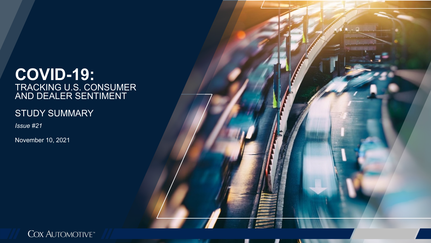## **COVID-19:** TRACKING U.S. CONSUMER AND DEALER SENTIMENT

### STUDY SUMMARY

*Issue #21*

November 10, 2021



w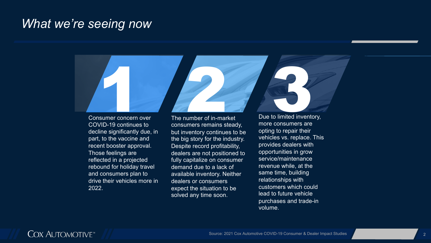# *What we're seeing now*



Consumer concern over COVID-19 continues to decline significantly due, in part, to the vaccine and recent booster approval. Those feelings are reflected in a projected rebound for holiday travel and consumers plan to drive their vehicles more in 2022.

The number of in-market consumers remains steady, but inventory continues to be the big story for the industry. Despite record profitability, dealers are not positioned to fully capitalize on consumer demand due to a lack of available inventory. Neither dealers or consumers expect the situation to be solved any time soon.

Due to limited inventory, more consumers are opting to repair their vehicles vs. replace. This provides dealers with opportunities in grow service/maintenance revenue while, at the same time, building relationships with customers which could lead to future vehicle purchases and trade-in volume.

### **COX AUTOMOTIVE**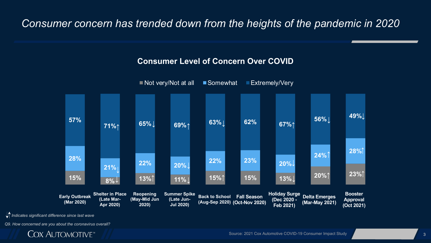## *Consumer concern has trended down from the heights of the pandemic in 2020*

#### **Consumer Level of Concern Over COVID**



*Indicates significant difference since last wave*

*Q9. How concerned are you about the coronavirus overall?*

## **COX AUTOMOTIVE**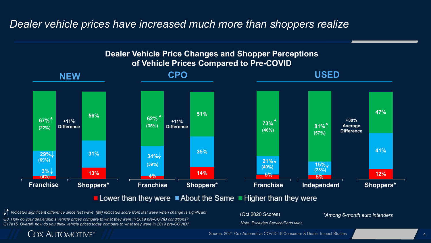## *Dealer vehicle prices have increased much more than shoppers realize*



*Q8. How do your dealership's vehicle prices compare to what they were in 2019 pre-COVID conditions?* Indicates significant difference since last wave, (##) indicates score from last wave when change is significant (Oct 2020 Scores)

*Q17a15. Overall, how do you think vehicle prices today compare to what they were in 2019 pre-COVID?*

**COX AUTOMOTIVE** 

*Note: Excludes Service/Parts titles*

*\*Among 6-month auto intenders*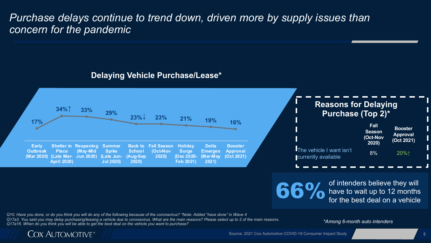## *Purchase delays continue to trend down, driven more by supply issues than concern for the pandemic*

#### **Delaying Vehicle Purchase/Lease\***



**66%** of intenders believe they will<br>for the best deal on a vehicle have to wait up to 12 months for the best deal on a vehicle

*Q10. Have you done, or do you think you will do any of the following because of the coronavirus? \*Note: Added "have done" in Wave 4 Q17a3. You said you may delay purchasing/leasing a vehicle due to coronavirus. What are the main reasons? Please select up to 2 of the main reasons. Q17a16. When do you think you will be able to get the best deal on the vehicle you want to purchase?* 

*\*Among 6-month auto intenders*

#### **COX AUTOMOTIVE**

Source: 2021 Cox Automotive COVID-19 Consumer Impact Study 5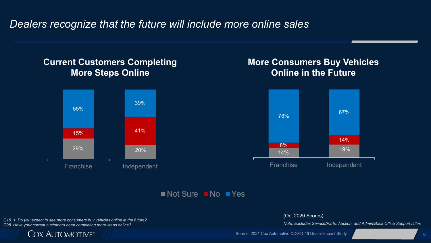*Dealers recognize that the future will include more online sales*

#### **Current Customers Completing More Steps Online**



### **More Consumers Buy Vehicles Online in the Future**



 $\blacksquare$  Not Sure  $\blacksquare$  No  $\blacksquare$  Yes

*Q15\_1. Do you expect to see more consumers buy vehicles online in the future? Q98. Have your current customers been completing more steps online?*



#### (Oct 2020 Scores)

*Note: Excludes Service/Parts, Auction, and Admin/Back Office Support tittles*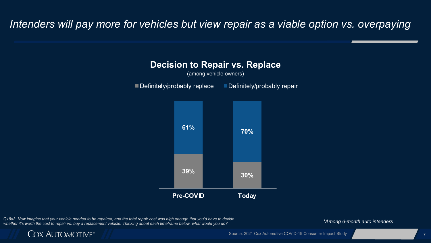## Intenders will pay more for vehicles but view repair as a viable option vs. overpaying



*Q18a3. Now imagine that your vehicle needed to be repaired, and the total repair cost was high enough that you'd have to decide*  whether it's worth the cost to repair vs. buy a replacement vehicle. Thinking about each timeframe below, what would you do? *\*Among 6-month auto intenders* 

**COX AUTOMOTIVE** 

#### Source: 2021 Cox Automotive COVID-19 Consumer Impact Study 7 2008 2009 10:00:00 2009 7 2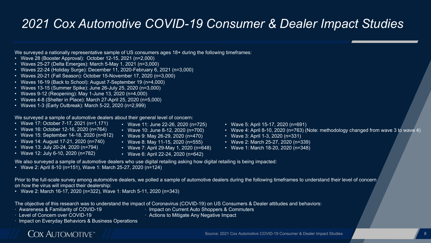# *2021 Cox Automotive COVID-19 Consumer & Dealer Impact Studies*

We surveyed a nationally representative sample of US consumers ages 18+ during the following timeframes:

- Wave 28 (Booster Approval): October 12-15, 2021 (n=2,000)
- Waves 25-27 (Delta Emerges): March 5-May 1, 2021 (n=3,000)
- Waves 22-24 (Holiday Surge): December 11, 2020-February 6, 2021 (n=3,000)
- Waves 20-21 (Fall Season): October 15-November 17, 2020 (n=3,000)
- Waves 16-19 (Back to School): August 7-September 19 (n=4,000)
- Waves 13-15 (Summer Spike): June 26-July 25, 2020 (n=3,000)
- Waves 9-12 (Reopening): May 1-June 13, 2020 (n=4,000)
- Waves 4-8 (Shelter in Place): March 27-April 25, 2020 (n=5,000)
- Waves 1-3 (Early Outbreak): March 5-22, 2020 (n=2,999)

We surveyed a sample of automotive dealers about their general level of concern:

- Wave 17: October 7-17, 2021 (n=1,171)
- Wave 16: October 12-16, 2020 (n=764)
- Wave 15: September 14-18, 2020 (n=812)
- Wave 14: August 17-21, 2020 (n=740)
- Wave 13: July 20-24, 2020 (n=794)
- Wave 12: July 6-10, 2020 (n=782)
- Wave 11: June 22-26, 2020 (n=725) • Wave 10: June 8-12, 2020 (n=700)
- Wave 9: May 26-29, 2020 (n=470)
- Wave 8: May 11-15, 2020 (n=555)
- Wave 7: April 29-May 1, 2020 (n=648)
- Wave 6: April 22-24, 2020 (n=642)
- Wave 5: April 15-17, 2020 (n=691)
- Wave 4: April 8-10, 2020 (n=763) (Note: methodology changed from wave 3 to wave 4)
- Wave 3: April 1-3, 2020 (n=331)
- Wave 2: March 25-27, 2020 (n=339)
- Wave 1: March 18-20, 2020 (n=348)

We also surveyed a sample of automotive dealers who use digital retailing asking how digital retailing is being impacted:

• Wave 2: April 8-10 (n=151), Wave 1: March 25-27, 2020 (n=124)

Prior to the full-scale survey among automotive dealers, we polled a sample of automotive dealers during the following timeframes to understand their level of concern on how the virus will impact their dealership:

• Wave 2: March 16-17, 2020 (n=322), Wave 1: March 5-11, 2020 (n=343)

The objective of this research was to understand the impact of Coronavirus (COVID-19) on US Consumers & Dealer attitudes and behaviors:

- · Awareness & Familiarity of COVID-19
- · Level of Concern over COVID-19
	-
- · Impact on Current Auto Shoppers & Commuters · Actions to Mitigate Any Negative Impact

· Impact on Everyday Behaviors & Business Operations

## **COX AUTOMOTIVE**